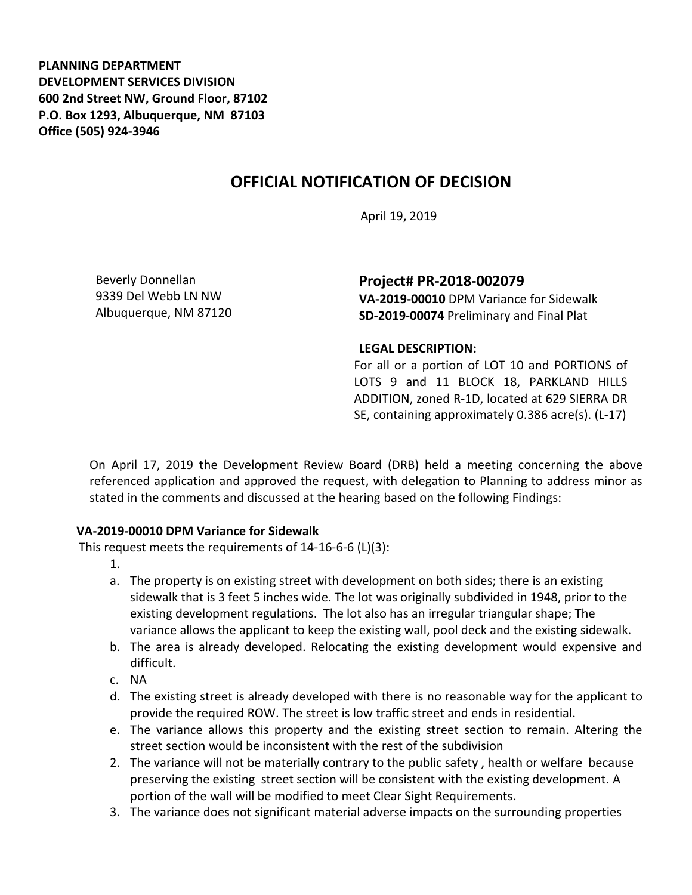**PLANNING DEPARTMENT DEVELOPMENT SERVICES DIVISION 600 2nd Street NW, Ground Floor, 87102 P.O. Box 1293, Albuquerque, NM 87103 Office (505) 924-3946** 

# **OFFICIAL NOTIFICATION OF DECISION**

April 19, 2019

Beverly Donnellan 9339 Del Webb LN NW Albuquerque, NM 87120 **Project# PR-2018-002079**

**VA-2019-00010** DPM Variance for Sidewalk **SD-2019-00074** Preliminary and Final Plat

#### **LEGAL DESCRIPTION:**

For all or a portion of LOT 10 and PORTIONS of LOTS 9 and 11 BLOCK 18, PARKLAND HILLS ADDITION, zoned R-1D, located at 629 SIERRA DR SE, containing approximately 0.386 acre(s). (L-17)

On April 17, 2019 the Development Review Board (DRB) held a meeting concerning the above referenced application and approved the request, with delegation to Planning to address minor as stated in the comments and discussed at the hearing based on the following Findings:

#### **VA-2019-00010 DPM Variance for Sidewalk**

This request meets the requirements of 14-16-6-6 (L)(3):

- 1.
- a. The property is on existing street with development on both sides; there is an existing sidewalk that is 3 feet 5 inches wide. The lot was originally subdivided in 1948, prior to the existing development regulations. The lot also has an irregular triangular shape; The variance allows the applicant to keep the existing wall, pool deck and the existing sidewalk.
- b. The area is already developed. Relocating the existing development would expensive and difficult.
- c. NA
- d. The existing street is already developed with there is no reasonable way for the applicant to provide the required ROW. The street is low traffic street and ends in residential.
- e. The variance allows this property and the existing street section to remain. Altering the street section would be inconsistent with the rest of the subdivision
- 2. The variance will not be materially contrary to the public safety , health or welfare because preserving the existing street section will be consistent with the existing development. A portion of the wall will be modified to meet Clear Sight Requirements.
- 3. The variance does not significant material adverse impacts on the surrounding properties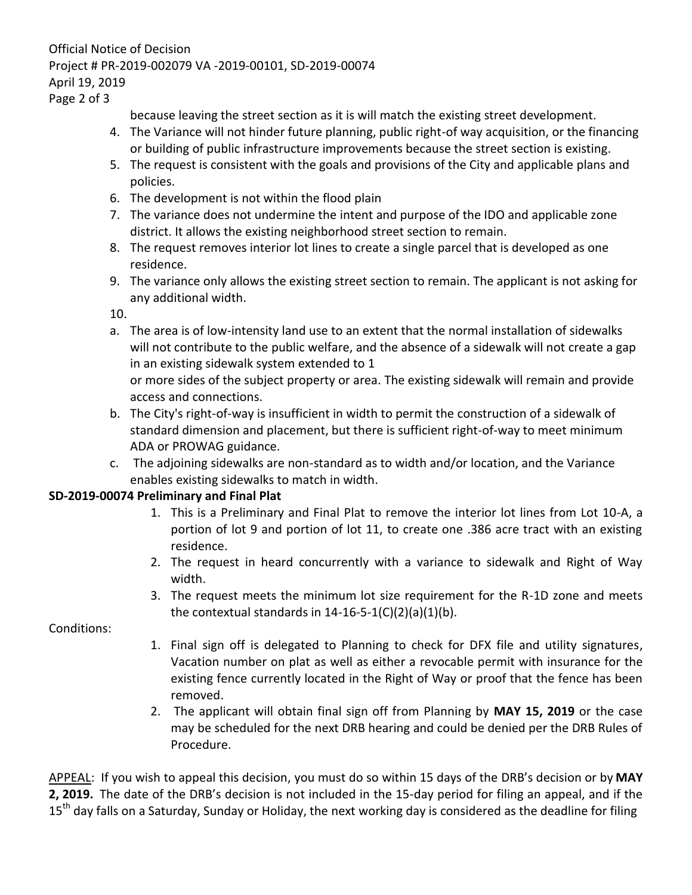## Official Notice of Decision Project # PR-2019-002079 VA -2019-00101, SD-2019-00074 April 19, 2019

Page 2 of 3

because leaving the street section as it is will match the existing street development.

- 4. The Variance will not hinder future planning, public right-of way acquisition, or the financing or building of public infrastructure improvements because the street section is existing.
- 5. The request is consistent with the goals and provisions of the City and applicable plans and policies.
- 6. The development is not within the flood plain
- 7. The variance does not undermine the intent and purpose of the IDO and applicable zone district. It allows the existing neighborhood street section to remain.
- 8. The request removes interior lot lines to create a single parcel that is developed as one residence.
- 9. The variance only allows the existing street section to remain. The applicant is not asking for any additional width.

10.

a. The area is of low-intensity land use to an extent that the normal installation of sidewalks will not contribute to the public welfare, and the absence of a sidewalk will not create a gap in an existing sidewalk system extended to 1

or more sides of the subject property or area. The existing sidewalk will remain and provide access and connections.

- b. The City's right-of-way is insufficient in width to permit the construction of a sidewalk of standard dimension and placement, but there is sufficient right-of-way to meet minimum ADA or PROWAG guidance.
- c. The adjoining sidewalks are non-standard as to width and/or location, and the Variance enables existing sidewalks to match in width.

### **SD-2019-00074 Preliminary and Final Plat**

- 1. This is a Preliminary and Final Plat to remove the interior lot lines from Lot 10-A, a portion of lot 9 and portion of lot 11, to create one .386 acre tract with an existing residence.
- 2. The request in heard concurrently with a variance to sidewalk and Right of Way width.
- 3. The request meets the minimum lot size requirement for the R-1D zone and meets the contextual standards in  $14-16-5-1(C)(2)(a)(1)(b)$ .

Conditions:

- 1. Final sign off is delegated to Planning to check for DFX file and utility signatures, Vacation number on plat as well as either a revocable permit with insurance for the existing fence currently located in the Right of Way or proof that the fence has been removed.
- 2. The applicant will obtain final sign off from Planning by **MAY 15, 2019** or the case may be scheduled for the next DRB hearing and could be denied per the DRB Rules of Procedure.

APPEAL: If you wish to appeal this decision, you must do so within 15 days of the DRB's decision or by **MAY 2, 2019.** The date of the DRB's decision is not included in the 15-day period for filing an appeal, and if the 15<sup>th</sup> day falls on a Saturday, Sunday or Holiday, the next working day is considered as the deadline for filing